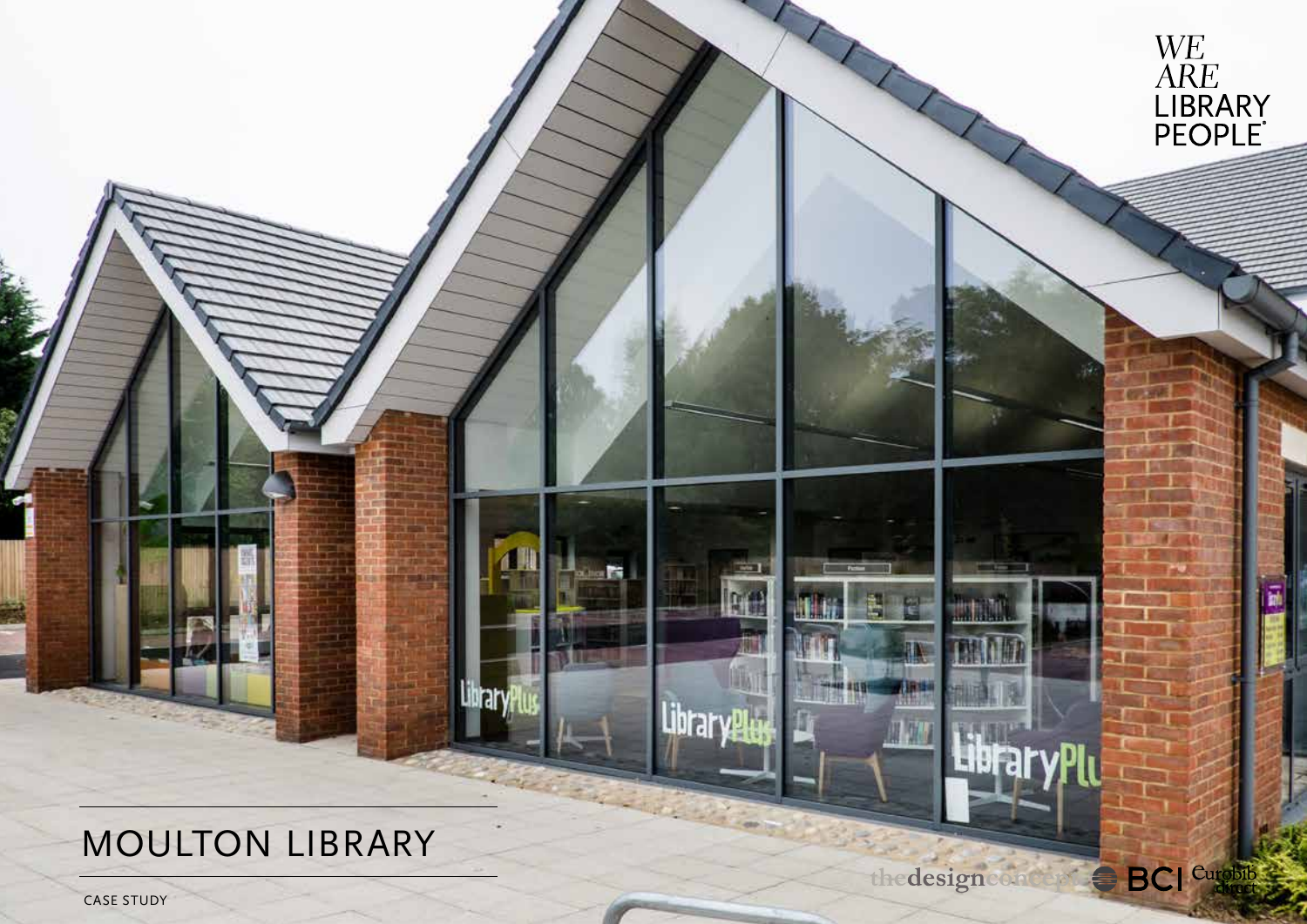# MOULTON LIBRARY

other **Co** 

Library

 $\overline{\phantom{a}}$ 

M

Library

**LibraryPlu** 

打击



WE<br>ARE<br>LIBRARY<br>PEOPLE

CASE STUDY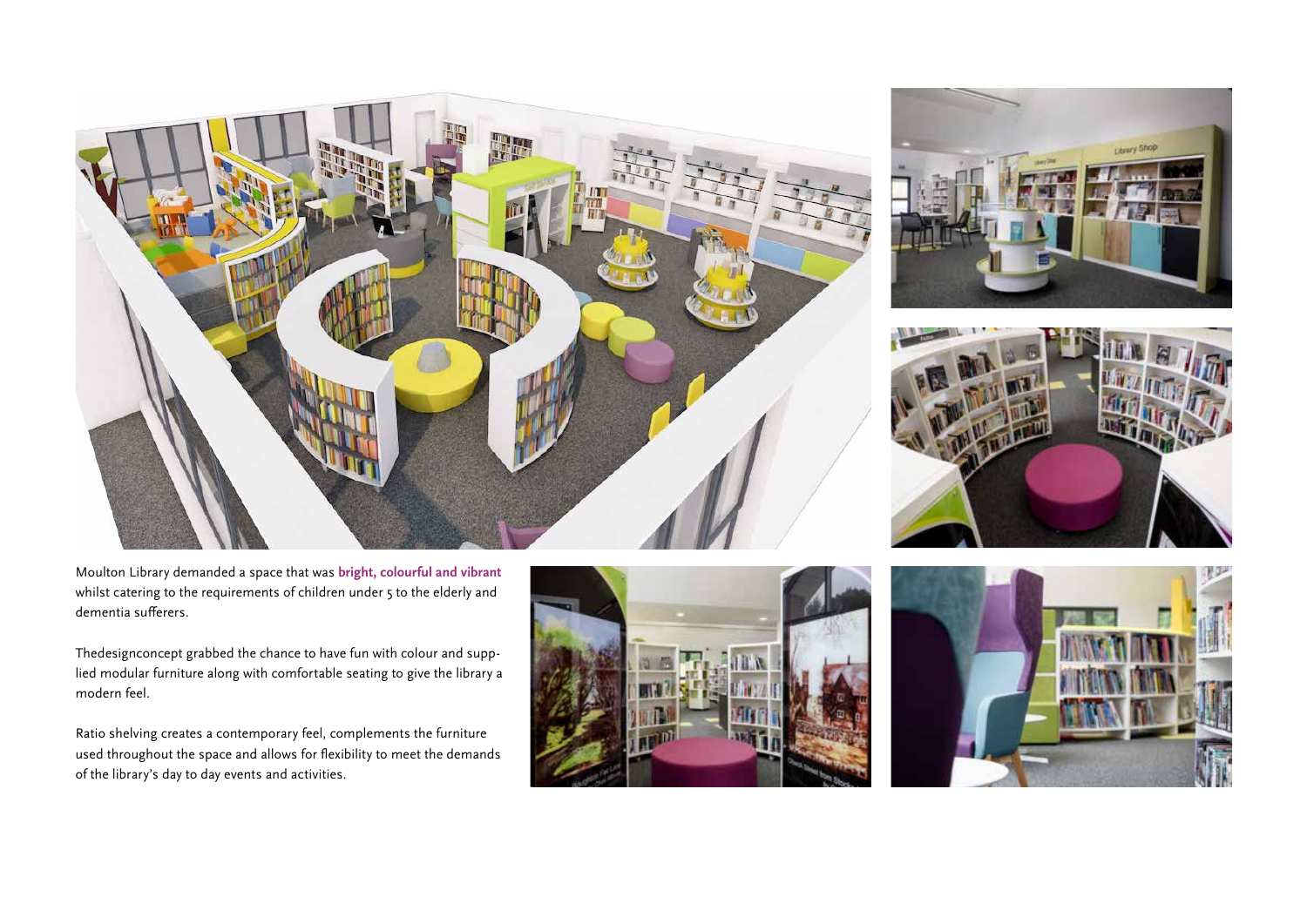Moulton Library demanded a space that was **bright, colourful and vibrant**  whilst catering to the requirements of children under 5 to the elderly and dementia sufferers.

Thedesignconcept grabbed the chance to have fun with colour and supplied modular furniture along with comfortable seating to give the library a modern feel.

Ratio shelving creates a contemporary feel, complements the furniture used throughout the space and allows for flexibility to meet the demands of the library's day to day events and activities.









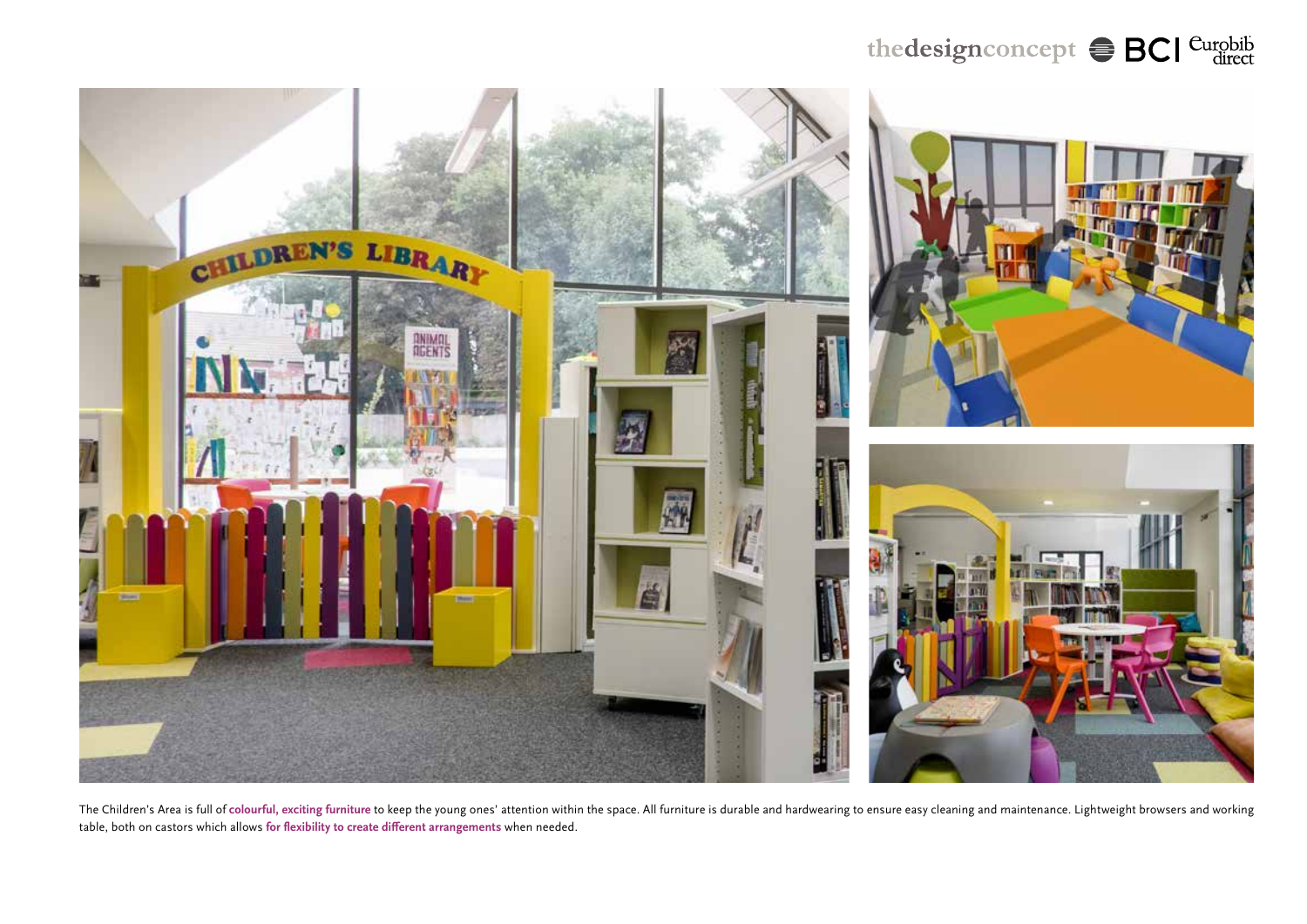### the design concept  $\textstyle\oplus$  BCI Curobib



The Children's Area is full of colourful, exciting furniture to keep the young ones' attention within the space. All furniture is durable and hardwearing to ensure easy cleaning and maintenance. Lightweight browsers and wo table, both on castors which allows **for flexibility to create different arrangements** when needed.